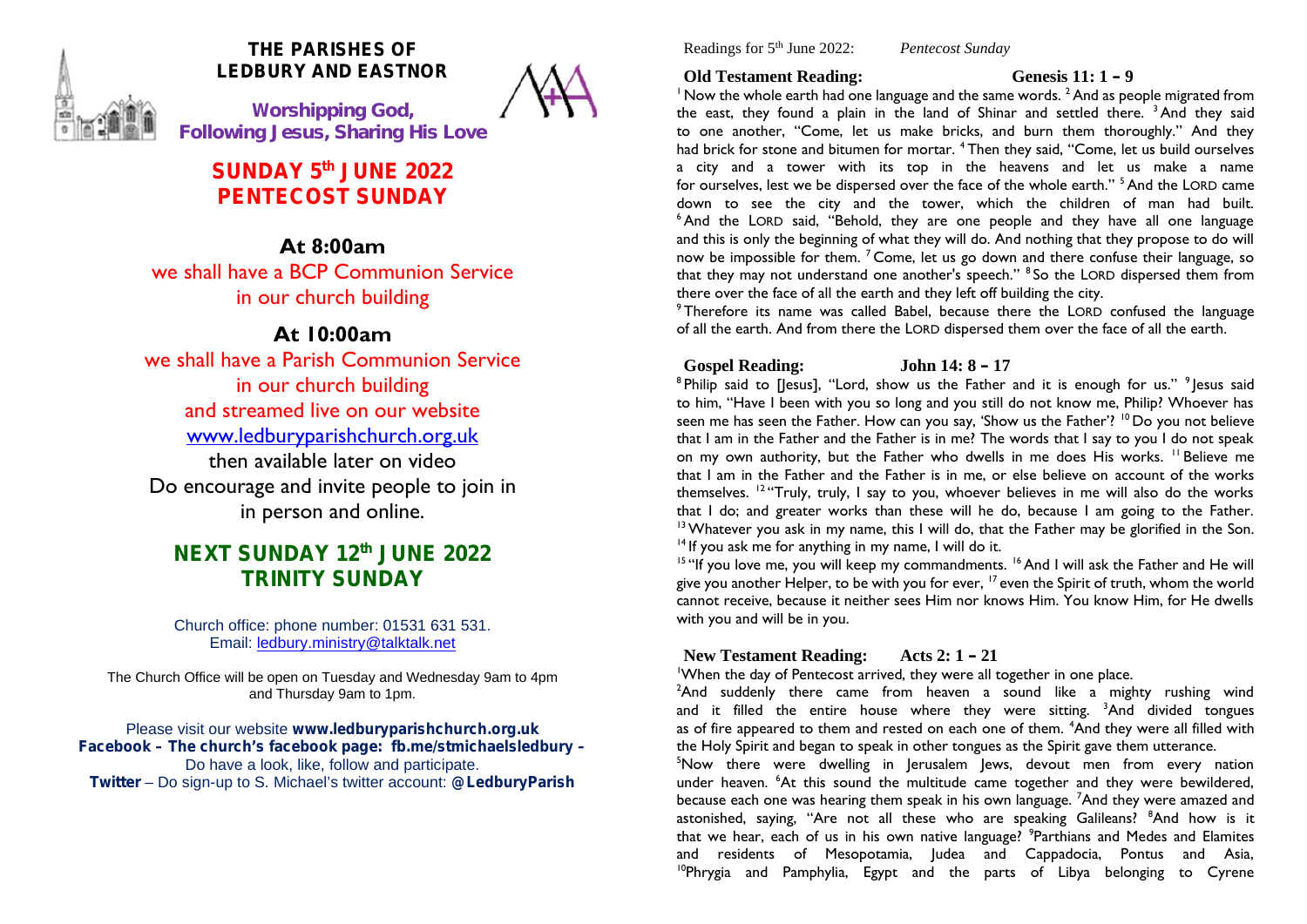

## **THE PARISHES OF LEDBURY AND EASTNOR**

**W***orshipping God, Following Jesus, Sharing His Love*

## **SUNDAY 5 th JUNE 2022 PENTECOST SUNDAY**

## **At 8:00am**

we shall have a BCP Communion Service in our church building

## **At 10:00am**

we shall have a Parish Communion Service in our church building and streamed live on our website www.ledburyparishchurch.org.uk then available later on video Do encourage and invite people to join in in person and online.

## **NEXT SUNDAY 12th JUNE 2022 TRINITY SUNDAY**

Church office: phone number: 01531 631 531. Email: ledbury.ministry@talktalk.net

The Church Office will be open on Tuesday and Wednesday 9am to 4pm and Thursday 9am to 1pm.

Please visit our website **www.ledburyparishchurch.org.uk Facebook – The church's facebook page: fb.me/stmichaelsledbury –** Do have a look, like, follow and participate. **Twitter** – Do sign-up to S. Michael's twitter account: **@LedburyParish**

Readings for 5th June 2022: *Pentecost Sunday*

### **Old Testament Reading: Genesis 11: 1 – 9**

 $1$  Now the whole earth had one language and the same words.  $2$  And as people migrated from the east, they found a plain in the land of Shinar and settled there. <sup>3</sup> And they said to one another, "Come, let us make bricks, and burn them thoroughly." And they had brick for stone and bitumen for mortar. <sup>4</sup> Then they said, "Come, let us build ourselves a city and a tower with its top in the heavens and let us make a name for ourselves, lest we be dispersed over the face of the whole earth." <sup>5</sup> And the LORD came down to see the city and the tower, which the children of man had built. <sup>6</sup> And the LORD said, "Behold, they are one people and they have all one language and this is only the beginning of what they will do. And nothing that they propose to do will now be impossible for them.<sup>7</sup> Come, let us go down and there confuse their language, so that they may not understand one another's speech." <sup>8</sup> So the LORD dispersed them from there over the face of all the earth and they left off building the city.

<sup>9</sup> Therefore its name was called Babel, because there the LORD confused the language of all the earth. And from there the LORD dispersed them over the face of all the earth.

## **Gospel Reading: John 14: 8 – 17**

 $^8$ Philip said to [Jesus], ''Lord, show us the Father and it is enough for us.''  $^9$ Jesus said to him, "Have I been with you so long and you still do not know me, Philip? Whoever has seen me has seen the Father. How can you say, 'Show us the Father'? <sup>10</sup> Do you not believe that I am in the Father and the Father is in me? The words that I say to you I do not speak on my own authority, but the Father who dwells in me does His works. <sup>11</sup> Believe me that I am in the Father and the Father is in me, or else believe on account of the works themselves. <sup>12</sup> "Truly, truly, I say to you, whoever believes in me will also do the works that I do; and greater works than these will he do, because I am going to the Father. <sup>13</sup> Whatever you ask in my name, this I will do, that the Father may be glorified in the Son. <sup>14</sup> If you ask me for anything in my name. I will do it.

<sup>15</sup> "If you love me, you will keep my commandments.<sup>16</sup> And I will ask the Father and He will give you another Helper, to be with you for ever,  $17$  even the Spirit of truth, whom the world cannot receive, because it neither sees Him nor knows Him. You know Him, for He dwells with you and will be in you.

### **New Testament Reading: Acts 2: 1 – 21**

<sup>1</sup>When the day of Pentecost arrived, they were all together in one place.

<sup>2</sup>And suddenly there came from heaven a sound like a mighty rushing wind and it filled the entire house where they were sitting.  $3$ And divided tongues as of fire appeared to them and rested on each one of them. <sup>4</sup>And they were all filled with the Holy Spirit and began to speak in other tongues as the Spirit gave them utterance.

<sup>5</sup>Now there were dwelling in Jerusalem Jews, devout men from every nation under heaven. <sup>6</sup>At this sound the multitude came together and they were bewildered, because each one was hearing them speak in his own language. <sup>7</sup>And they were amazed and astonished, saying, "Are not all these who are speaking Galileans? <sup>8</sup>And how is it that we hear, each of us in his own native language? <sup>9</sup>Parthians and Medes and Elamites and residents of Mesopotamia, Judea and Cappadocia, Pontus and Asia, <sup>10</sup>Phrygia and Pamphylia, Egypt and the parts of Libya belonging to Cyrene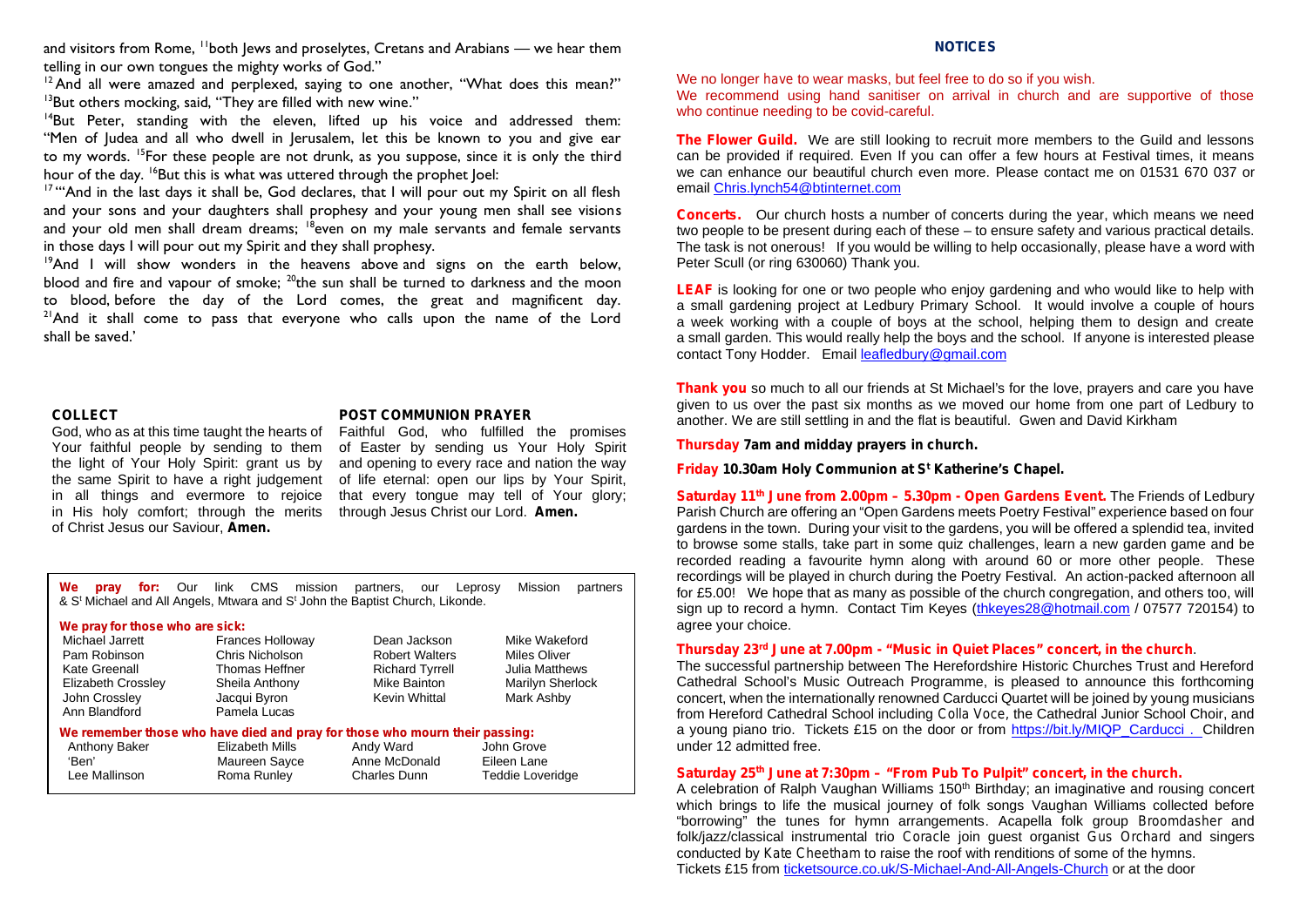and visitors from Rome, <sup>11</sup>both Jews and proselytes, Cretans and Arabians — we hear them telling in our own tongues the mighty works of God."

<sup>12</sup> And all were amazed and perplexed, saying to one another, "What does this mean?"  $13$ But others mocking, said, "They are filled with new wine."

 $14$ But Peter, standing with the eleven, lifted up his voice and addressed them: "Men of Judea and all who dwell in Jerusalem, let this be known to you and give ear to my words. <sup>15</sup>For these people are not drunk, as you suppose, since it is only the third hour of the day. <sup>16</sup>But this is what was uttered through the prophet loel:

<sup>17</sup> "And in the last days it shall be, God declares, that I will pour out my Spirit on all flesh and your sons and your daughters shall prophesy and your young men shall see visions and your old men shall dream dreams; <sup>18</sup>even on my male servants and female servants in those days I will pour out my Spirit and they shall prophesy.

<sup>19</sup>And I will show wonders in the heavens above and signs on the earth below, blood and fire and vapour of smoke;  $^{20}$ the sun shall be turned to darkness and the moon to blood, before the day of the Lord comes, the great and magnificent day.  $2^{1}$ And it shall come to pass that everyone who calls upon the name of the Lord shall be saved.'

#### **COLLECT**

God, who as at this time taught the hearts of Your faithful people by sending to them the light of Your Holy Spirit: grant us by the same Spirit to have a right judgement in all things and evermore to rejoice in His holy comfort; through the merits of Christ Jesus our Saviour, **Amen.**

#### **POST COMMUNION PRAYER**

Faithful God, who fulfilled the promises of Easter by sending us Your Holy Spirit and opening to every race and nation the way of life eternal: open our lips by Your Spirit, that every tongue may tell of Your glory; through Jesus Christ our Lord. **Amen.**

| for: Our link CMS mission<br>Mission<br>We<br>partners<br>partners, our Leprosy<br>prav<br>& S <sup>t</sup> Michael and All Angels, Mtwara and S <sup>t</sup> John the Baptist Church, Likonde. |                         |                        |                         |
|-------------------------------------------------------------------------------------------------------------------------------------------------------------------------------------------------|-------------------------|------------------------|-------------------------|
| We pray for those who are sick:                                                                                                                                                                 |                         |                        |                         |
| Michael Jarrett                                                                                                                                                                                 | <b>Frances Holloway</b> | Dean Jackson           | Mike Wakeford           |
| Pam Robinson                                                                                                                                                                                    | Chris Nicholson         | <b>Robert Walters</b>  | Miles Oliver            |
| Kate Greenall                                                                                                                                                                                   | Thomas Heffner          | <b>Richard Tyrrell</b> | <b>Julia Matthews</b>   |
| Elizabeth Crossley                                                                                                                                                                              | Sheila Anthony          | Mike Bainton           | Marilyn Sherlock        |
| John Crossley                                                                                                                                                                                   | Jacqui Byron            | Kevin Whittal          | Mark Ashby              |
| Ann Blandford                                                                                                                                                                                   | Pamela Lucas            |                        |                         |
| We remember those who have died and pray for those who mourn their passing:                                                                                                                     |                         |                        |                         |
| Anthony Baker                                                                                                                                                                                   | Elizabeth Mills         | Andy Ward              | John Grove              |
| 'Ben'                                                                                                                                                                                           | Maureen Sayce           | Anne McDonald          | Eileen Lane             |
| Lee Mallinson                                                                                                                                                                                   | Roma Runley             | Charles Dunn           | <b>Teddie Loveridge</b> |

#### **NOTICES**

We no longer *have* to wear masks, but feel free to do so if you wish.

We recommend using hand sanitiser on arrival in church and are supportive of those who continue needing to be covid-careful.

**The Flower Guild.** We are still looking to recruit more members to the Guild and lessons can be provided if required. Even If you can offer a few hours at Festival times, it means we can enhance our beautiful church even more. Please contact me on 01531 670 037 or email Chris.lynch54@btinternet.com

**Concerts.** Our church hosts a number of concerts during the year, which means we need two people to be present during each of these – to ensure safety and various practical details. The task is not onerous! If you would be willing to help occasionally, please have a word with Peter Scull (or ring 630060) Thank you.

**LEAF** is looking for one or two people who enjoy gardening and who would like to help with a small gardening project at Ledbury Primary School. It would involve a couple of hours a week working with a couple of boys at the school, helping them to design and create a small garden. This would really help the boys and the school. If anyone is interested please contact Tony Hodder. Email leafledbury@gmail.com

**Thank you** so much to all our friends at St Michael's for the love, prayers and care you have given to us over the past six months as we moved our home from one part of Ledbury to another. We are still settling in and the flat is beautiful. Gwen and David Kirkham

**Thursday 7am and midday prayers in church.**

**Friday 10.30am Holy Communion at S <sup>t</sup> Katherine's Chapel.**

**Saturday 11th June from 2.00pm – 5.30pm - Open Gardens Event.** The Friends of Ledbury Parish Church are offering an "Open Gardens meets Poetry Festival" experience based on four gardens in the town. During your visit to the gardens, you will be offered a splendid tea, invited to browse some stalls, take part in some quiz challenges, learn a new garden game and be recorded reading a favourite hymn along with around 60 or more other people. These recordings will be played in church during the Poetry Festival. An action-packed afternoon all for £5.00! We hope that as many as possible of the church congregation, and others too, will sign up to record a hymn. Contact Tim Keyes (thkeyes28@hotmail.com / 07577 720154) to agree your choice.

#### **Thursday 23<sup>rd</sup> June at 7.00pm - "Music in Quiet Places" concert, in the church**<br>Miles Oliver Marten Marten Marten Marten Marten Marten Marten Marten Marten Marten Marten Marten Marten Marten

The successful partnership between The Herefordshire Historic Churches Trust and Hereford Cathedral School's Music Outreach Programme, is pleased to announce this forthcoming concert, when the internationally renowned Carducci Quartet will be joined by young musicians from Hereford Cathedral School including *Colla Voce,* the Cathedral Junior School Choir, and a young piano trio. Tickets £15 on the door or from https://bit.ly/MIQP\_Carducci . Children under 12 admitted free.

#### **Saturday 25th June at 7:30pm – "From Pub To Pulpit" concert, in the church.**

A celebration of Ralph Vaughan Williams 150<sup>th</sup> Birthday; an imaginative and rousing concert which brings to life the musical journey of folk songs Vaughan Williams collected before "borrowing" the tunes for hymn arrangements. Acapella folk group *Broomdasher* and folk/jazz/classical instrumental trio *Coracle* join guest organist *Gus Orchard* and singers conducted by *Kate Cheetham* to raise the roof with renditions of some of the hymns. Tickets £15 from ticketsource.co.uk/S-Michael-And-All-Angels-Church or at the door